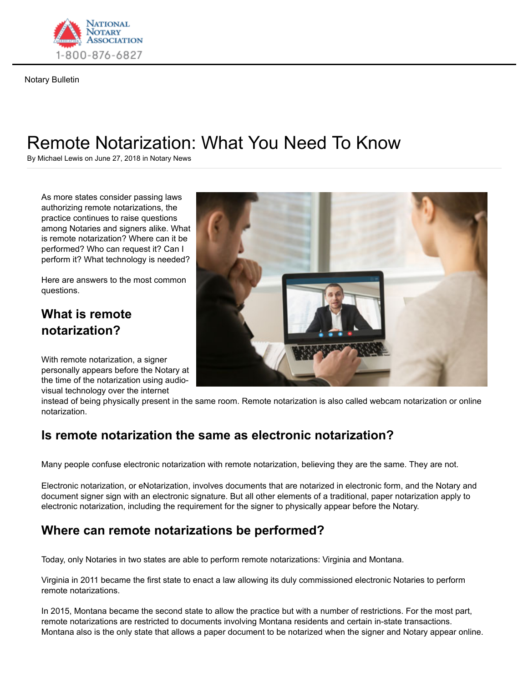

Notary Bulletin

# Remote Notarization: What You Need To Know

By Michael Lewis on June 27, 2018 in Notary News

As more states consider passing laws authorizing remote notarizations, the practice continues to raise questions among Notaries and signers alike. What is remote notarization? Where can it be performed? Who can request it? Can I perform it? What technology is needed?

Here are answers to the most common questions.

# **What is remote notarization?**

With remote notarization, a signer personally appears before the Notary at the time of the notarization using audiovisual technology over the internet



instead of being physically present in the same room. Remote notarization is also called webcam notarization or online notarization.

# **Is remote notarization the same as electronic notarization?**

Many people confuse electronic notarization with remote notarization, believing they are the same. They are not.

Electronic notarization, or eNotarization, involves documents that are notarized in electronic form, and the Notary and document signer sign with an electronic signature. But all other elements of a traditional, paper notarization apply to electronic notarization, including the requirement for the signer to physically appear before the Notary.

# **Where can remote notarizations be performed?**

Today, only Notaries in two states are able to perform remote notarizations: Virginia and Montana.

Virginia in 2011 became the first state to enact a law allowing its duly commissioned electronic Notaries to perform remote notarizations.

In 2015, Montana became the second state to allow the practice but with a number of restrictions. For the most part, remote notarizations are restricted to documents involving Montana residents and certain in-state transactions. Montana also is the only state that allows a paper document to be notarized when the signer and Notary appear online.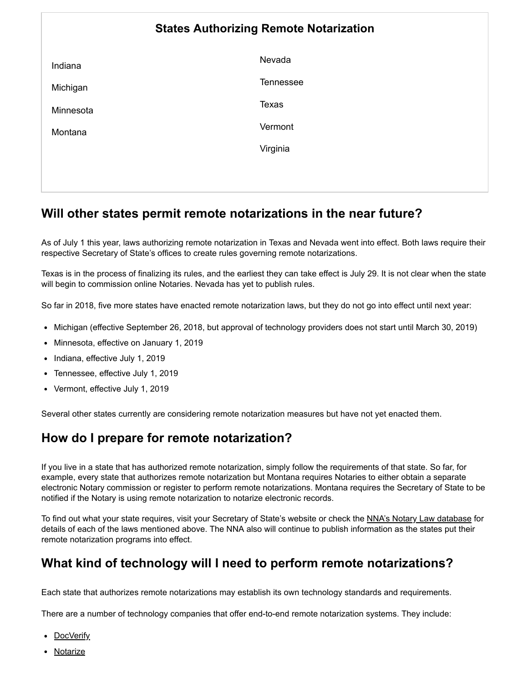|           | <b>States Authorizing Remote Notarization</b> |
|-----------|-----------------------------------------------|
| Indiana   | Nevada                                        |
| Michigan  | Tennessee                                     |
| Minnesota | <b>Texas</b>                                  |
| Montana   | Vermont                                       |
|           | Virginia                                      |
|           |                                               |

# **Will other states permit remote notarizations in the near future?**

As of July 1 this year, laws authorizing remote notarization in Texas and Nevada went into effect. Both laws require their respective Secretary of State's offices to create rules governing remote notarizations.

Texas is in the process of finalizing its rules, and the earliest they can take effect is July 29. It is not clear when the state will begin to commission online Notaries. Nevada has yet to publish rules.

So far in 2018, five more states have enacted remote notarization laws, but they do not go into effect until next year:

- Michigan (effective September 26, 2018, but approval of technology providers does not start until March 30, 2019)
- Minnesota, effective on January 1, 2019
- Indiana, effective July 1, 2019
- Tennessee, effective July 1, 2019
- Vermont, effective July 1, 2019

Several other states currently are considering remote notarization measures but have not yet enacted them.

# **How do I prepare for remote notarization?**

If you live in a state that has authorized remote notarization, simply follow the requirements of that state. So far, for example, every state that authorizes remote notarization but Montana requires Notaries to either obtain a separate electronic Notary commission or register to perform remote notarizations. Montana requires the Secretary of State to be notified if the Notary is using remote notarization to notarize electronic records.

To find out what your state requires, visit your Secretary of State's website or check the NNA's Notary Law database for details of each of the laws mentioned above. The NNA also will continue to publish information as the states put their remote notarization programs into effect.

# **What kind of technology will I need to perform remote notarizations?**

Each state that authorizes remote notarizations may establish its own technology standards and requirements.

There are a number of technology companies that offer end-to-end remote notarization systems. They include:

- <u>DocVerify</u>
- Notarize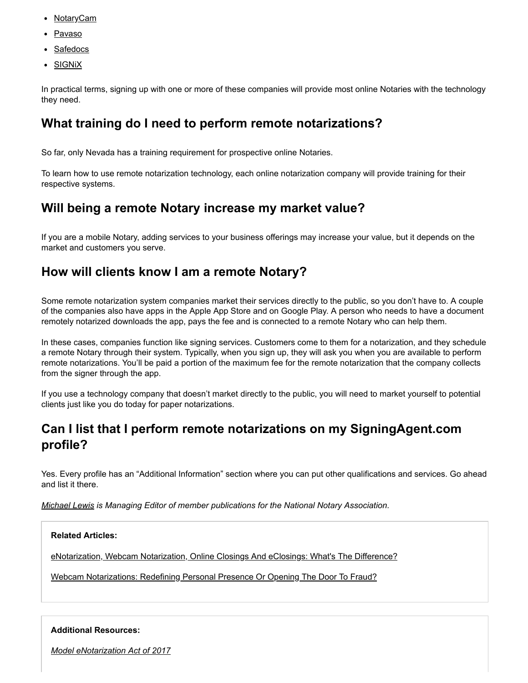- <u>NotaryCam</u> Remote Notaria time New York **Properties and American Properties A** 
	- Pavaso
	- Safedocs
	- <u>SIGNiX</u>

In practical terms, signing up with one or more of these companies will provide most online Notaries with the technology they need.

# **What training do I need to perform remote notarizations?**

So far, only Nevada has a training requirement for prospective online Notaries.

To learn how to use remote notarization technology, each online notarization company will provide training for their respective systems.

#### **Will being a remote Notary increase my market value?**

If you are a mobile Notary, adding services to your business offerings may increase your value, but it depends on the market and customers you serve.

#### **How will clients know I am a remote Notary?**

Some remote notarization system companies market their services directly to the public, so you don't have to. A couple of the companies also have apps in the Apple App Store and on Google Play. A person who needs to have a document remotely notarized downloads the app, pays the fee and is connected to a remote Notary who can help them.

In these cases, companies function like signing services. Customers come to them for a notarization, and they schedule a remote Notary through their system. Typically, when you sign up, they will ask you when you are available to perform remote notarizations. You'll be paid a portion of the maximum fee for the remote notarization that the company collects from the signer through the app.

If you use a technology company that doesn't market directly to the public, you will need to market yourself to potential clients just like you do today for paper notarizations.

# **Can I list that I perform remote notarizations on my SigningAgent.com profile?**

Yes. Every profile has an "Additional Information" section where you can put other qualifications and services. Go ahead and list it there.

https://www.nationalnotary.org/notary-bulletin/blog/2018/06/remote-notarization-what-you-need-to-know 3/5

*Michael Lewis is Managing Editor of member publications for the National Notary Association.*

#### **Related Articles:**

eNotarization, Webcam Notarization, Online Closings And eClosings: What's The Difference?

Webcam Notarizations: Redefining Personal Presence Or Opening The Door To Fraud?

#### **Additional Resources:**

*Model eNotarization Act of 2017*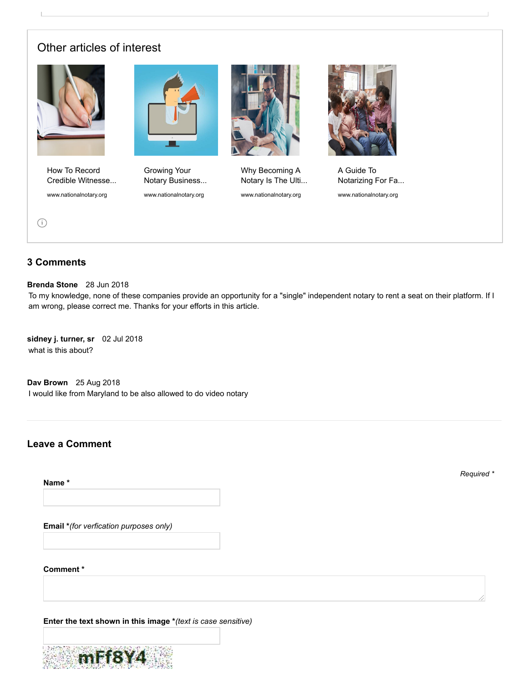#### Other articles of interest



How To Record Credible Witnesse... www.nationalnotary.org



12/11/2018 Remote Notarization: What You Need To Know | NNA

Growing Your Notary Business... www.nationalnotary.org



Why Becoming A Notary Is The Ulti...

www.nationalnotary.org



A Guide To Notarizing For Fa...

www.nationalnotary.org

i

#### **3 Comments**

**Brenda Stone** 28 Jun 2018

To my knowledge, none of these companies provide an opportunity for a "single" independent notary to rent a seat on their platform. If I am wrong, please correct me. Thanks for your efforts in this article.

**sidney j. turner, sr** 02 Jul 2018 what is this about?

**Dav Brown** 25 Aug 2018 I would like from Maryland to be also allowed to do video notary

#### **Leave a Comment**

**Name \***

*Required \**

**Email \****(for verfication purposes only)*

**Comment \***

**Enter the text shown in this image \****(text is case sensitive)*